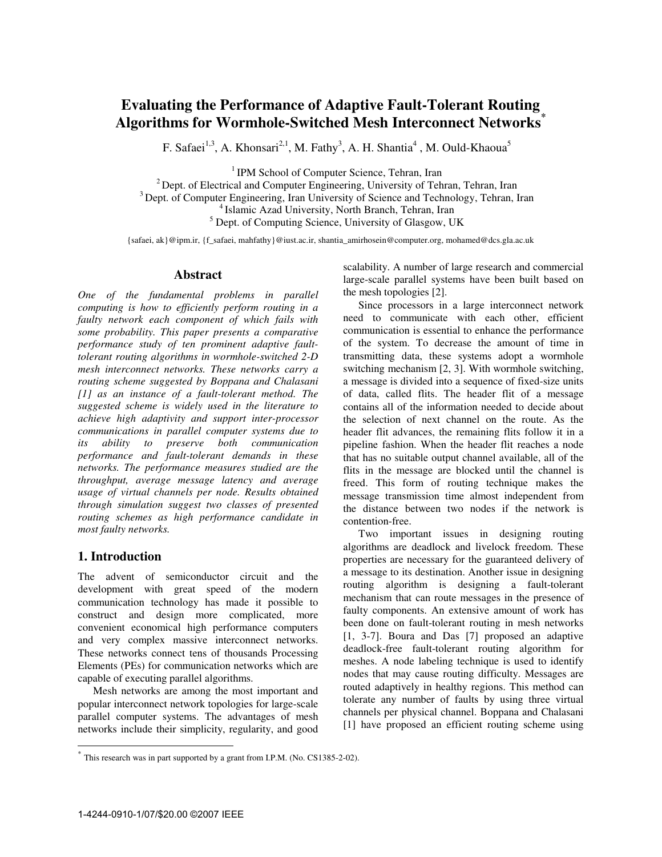# **Evaluating the Performance of Adaptive Fault-Tolerant Routing Algorithms for Wormhole-Switched Mesh Interconnect Networks\***

F. Safaei<sup>1,3</sup>, A. Khonsari<sup>2,1</sup>, M. Fathy<sup>3</sup>, A. H. Shantia<sup>4</sup>, M. Ould-Khaoua<sup>5</sup>

<sup>1</sup> IPM School of Computer Science, Tehran, Iran<br><sup>2</sup> Dept. of Electrical and Computer Engineering, University of Tehran, Tehran, Iran<br><sup>3</sup> Dept. of Computer Engineering, Iran University of Science and Technology, Tehran, Ir <sup>5</sup> Dept. of Computing Science, University of Glasgow, UK

{safaei, ak}@ipm.ir, {f\_safaei, mahfathy}@iust.ac.ir, shantia\_amirhosein@computer.org, mohamed@dcs.gla.ac.uk

#### **Abstract**

*One of the fundamental problems in parallel computing is how to efficiently perform routing in a faulty network each component of which fails with some probability. This paper presents a comparative performance study of ten prominent adaptive faulttolerant routing algorithms in wormhole-switched 2-D mesh interconnect networks. These networks carry a routing scheme suggested by Boppana and Chalasani [1] as an instance of a fault-tolerant method. The suggested scheme is widely used in the literature to achieve high adaptivity and support inter-processor communications in parallel computer systems due to its ability to preserve both communication performance and fault-tolerant demands in these networks. The performance measures studied are the throughput, average message latency and average usage of virtual channels per node. Results obtained through simulation suggest two classes of presented routing schemes as high performance candidate in most faulty networks.* 

# **1. Introduction**

-

The advent of semiconductor circuit and the development with great speed of the modern communication technology has made it possible to construct and design more complicated, more convenient economical high performance computers and very complex massive interconnect networks. These networks connect tens of thousands Processing Elements (PEs) for communication networks which are capable of executing parallel algorithms.

Mesh networks are among the most important and popular interconnect network topologies for large-scale parallel computer systems. The advantages of mesh networks include their simplicity, regularity, and good scalability. A number of large research and commercial large-scale parallel systems have been built based on the mesh topologies [2].

Since processors in a large interconnect network need to communicate with each other, efficient communication is essential to enhance the performance of the system. To decrease the amount of time in transmitting data, these systems adopt a wormhole switching mechanism [2, 3]. With wormhole switching, a message is divided into a sequence of fixed-size units of data, called flits. The header flit of a message contains all of the information needed to decide about the selection of next channel on the route. As the header flit advances, the remaining flits follow it in a pipeline fashion. When the header flit reaches a node that has no suitable output channel available, all of the flits in the message are blocked until the channel is freed. This form of routing technique makes the message transmission time almost independent from the distance between two nodes if the network is contention-free.

Two important issues in designing routing algorithms are deadlock and livelock freedom. These properties are necessary for the guaranteed delivery of a message to its destination. Another issue in designing routing algorithm is designing a fault-tolerant mechanism that can route messages in the presence of faulty components. An extensive amount of work has been done on fault-tolerant routing in mesh networks [1, 3-7]. Boura and Das [7] proposed an adaptive deadlock-free fault-tolerant routing algorithm for meshes. A node labeling technique is used to identify nodes that may cause routing difficulty. Messages are routed adaptively in healthy regions. This method can tolerate any number of faults by using three virtual channels per physical channel. Boppana and Chalasani [1] have proposed an efficient routing scheme using

<sup>\*</sup> This research was in part supported by a grant from I.P.M. (No. CS1385-2-02).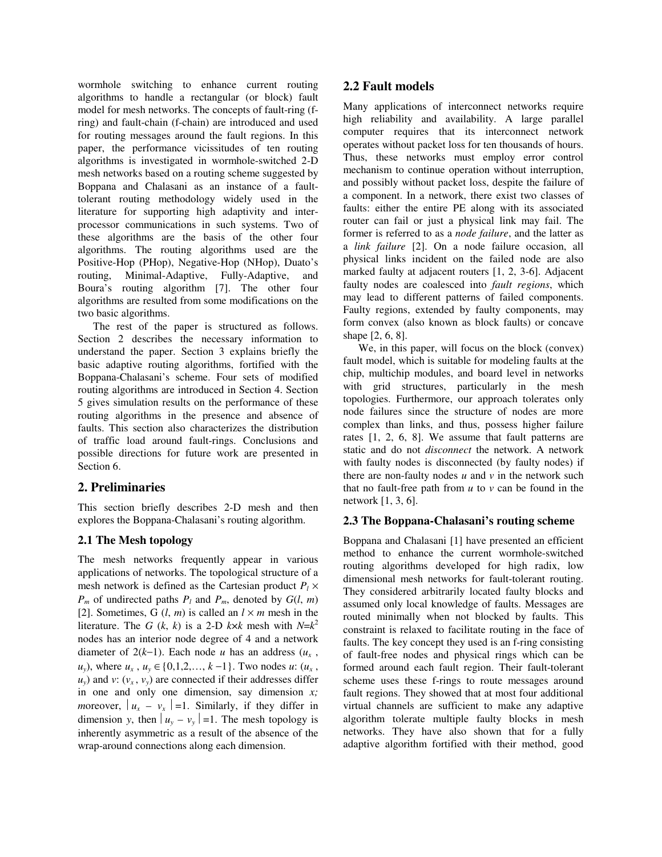wormhole switching to enhance current routing algorithms to handle a rectangular (or block) fault model for mesh networks. The concepts of fault-ring (fring) and fault-chain (f-chain) are introduced and used for routing messages around the fault regions. In this paper, the performance vicissitudes of ten routing algorithms is investigated in wormhole-switched 2-D mesh networks based on a routing scheme suggested by Boppana and Chalasani as an instance of a faulttolerant routing methodology widely used in the literature for supporting high adaptivity and interprocessor communications in such systems. Two of these algorithms are the basis of the other four algorithms. The routing algorithms used are the Positive-Hop (PHop), Negative-Hop (NHop), Duato's routing, Minimal-Adaptive, Fully-Adaptive, and Boura's routing algorithm [7]. The other four algorithms are resulted from some modifications on the two basic algorithms.

The rest of the paper is structured as follows. Section 2 describes the necessary information to understand the paper. Section 3 explains briefly the basic adaptive routing algorithms, fortified with the Boppana-Chalasani's scheme. Four sets of modified routing algorithms are introduced in Section 4. Section 5 gives simulation results on the performance of these routing algorithms in the presence and absence of faults. This section also characterizes the distribution of traffic load around fault-rings. Conclusions and possible directions for future work are presented in Section 6.

# **2. Preliminaries**

This section briefly describes 2-D mesh and then explores the Boppana-Chalasani's routing algorithm.

# **2.1 The Mesh topology**

The mesh networks frequently appear in various applications of networks. The topological structure of a mesh network is defined as the Cartesian product  $P_l \times$  $P_m$  of undirected paths  $P_l$  and  $P_m$ , denoted by  $G(l, m)$ [2]. Sometimes, G  $(l, m)$  is called an  $l \times m$  mesh in the literature. The *G* (*k*, *k*) is a 2-D *k* $\times$ *k* mesh with  $N=k^2$ nodes has an interior node degree of 4 and a network diameter of  $2(k-1)$ . Each node *u* has an address  $(u_x, v_y)$ *u<sub>y</sub>*), where *u<sub>x</sub>*, *u<sub>y</sub>* ∈ {0,1,2,..., *k* −1}. Two nodes *u*: (*u<sub>x</sub>*,  $u_y$ ) and *v*: ( $v_x$ ,  $v_y$ ) are connected if their addresses differ in one and only one dimension, say dimension *x; m*oreover,  $|u_x - v_x| = 1$ . Similarly, if they differ in dimension *y*, then  $|u_v - v_v| = 1$ . The mesh topology is inherently asymmetric as a result of the absence of the wrap-around connections along each dimension.

# **2.2 Fault models**

Many applications of interconnect networks require high reliability and availability. A large parallel computer requires that its interconnect network operates without packet loss for ten thousands of hours. Thus, these networks must employ error control mechanism to continue operation without interruption, and possibly without packet loss, despite the failure of a component. In a network, there exist two classes of faults: either the entire PE along with its associated router can fail or just a physical link may fail. The former is referred to as a *node failure*, and the latter as a *link failure* [2]. On a node failure occasion, all physical links incident on the failed node are also marked faulty at adjacent routers [1, 2, 3-6]. Adjacent faulty nodes are coalesced into *fault regions*, which may lead to different patterns of failed components. Faulty regions, extended by faulty components, may form convex (also known as block faults) or concave shape [2, 6, 8].

We, in this paper, will focus on the block (convex) fault model, which is suitable for modeling faults at the chip, multichip modules, and board level in networks with grid structures, particularly in the mesh topologies. Furthermore, our approach tolerates only node failures since the structure of nodes are more complex than links, and thus, possess higher failure rates [1, 2, 6, 8]. We assume that fault patterns are static and do not *disconnect* the network. A network with faulty nodes is disconnected (by faulty nodes) if there are non-faulty nodes  $u$  and  $v$  in the network such that no fault-free path from  $u$  to  $v$  can be found in the network [1, 3, 6].

# **2.3 The Boppana-Chalasani's routing scheme**

Boppana and Chalasani [1] have presented an efficient method to enhance the current wormhole-switched routing algorithms developed for high radix, low dimensional mesh networks for fault-tolerant routing. They considered arbitrarily located faulty blocks and assumed only local knowledge of faults. Messages are routed minimally when not blocked by faults. This constraint is relaxed to facilitate routing in the face of faults. The key concept they used is an f-ring consisting of fault-free nodes and physical rings which can be formed around each fault region. Their fault-tolerant scheme uses these f-rings to route messages around fault regions. They showed that at most four additional virtual channels are sufficient to make any adaptive algorithm tolerate multiple faulty blocks in mesh networks. They have also shown that for a fully adaptive algorithm fortified with their method, good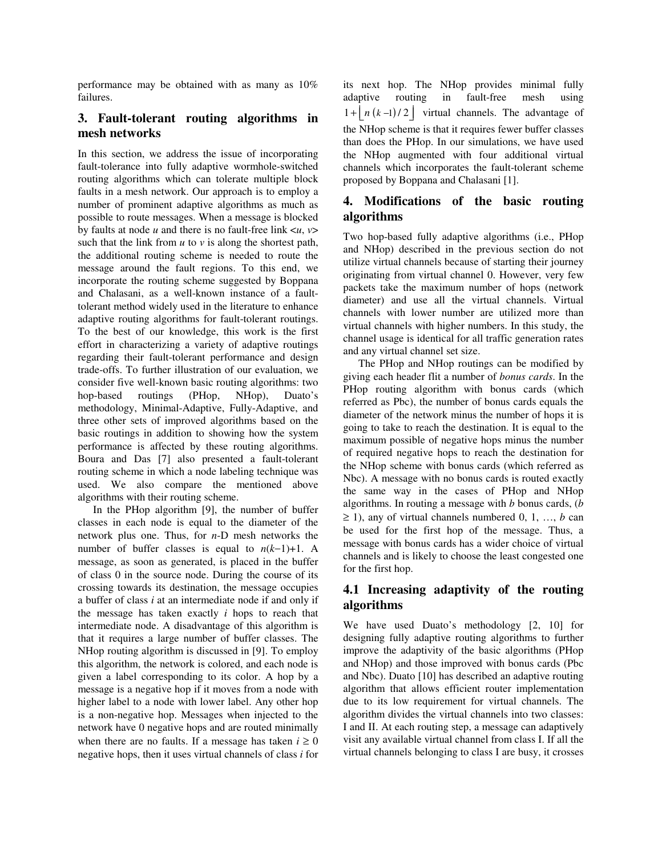performance may be obtained with as many as 10% failures.

# **3. Fault-tolerant routing algorithms in mesh networks**

In this section, we address the issue of incorporating fault-tolerance into fully adaptive wormhole-switched routing algorithms which can tolerate multiple block faults in a mesh network. Our approach is to employ a number of prominent adaptive algorithms as much as possible to route messages. When a message is blocked by faults at node *u* and there is no fault-free link <*u*, *v*> such that the link from  $u$  to  $v$  is along the shortest path, the additional routing scheme is needed to route the message around the fault regions. To this end, we incorporate the routing scheme suggested by Boppana and Chalasani, as a well-known instance of a faulttolerant method widely used in the literature to enhance adaptive routing algorithms for fault-tolerant routings. To the best of our knowledge, this work is the first effort in characterizing a variety of adaptive routings regarding their fault-tolerant performance and design trade-offs. To further illustration of our evaluation, we consider five well-known basic routing algorithms: two hop-based routings (PHop, NHop), Duato's methodology, Minimal-Adaptive, Fully-Adaptive, and three other sets of improved algorithms based on the basic routings in addition to showing how the system performance is affected by these routing algorithms. Boura and Das [7] also presented a fault-tolerant routing scheme in which a node labeling technique was used. We also compare the mentioned above algorithms with their routing scheme.

In the PHop algorithm [9], the number of buffer classes in each node is equal to the diameter of the network plus one. Thus, for *n*-D mesh networks the number of buffer classes is equal to *n*(*k*−1)+1. A message, as soon as generated, is placed in the buffer of class 0 in the source node. During the course of its crossing towards its destination, the message occupies a buffer of class *i* at an intermediate node if and only if the message has taken exactly *i* hops to reach that intermediate node. A disadvantage of this algorithm is that it requires a large number of buffer classes. The NHop routing algorithm is discussed in [9]. To employ this algorithm, the network is colored, and each node is given a label corresponding to its color. A hop by a message is a negative hop if it moves from a node with higher label to a node with lower label. Any other hop is a non-negative hop. Messages when injected to the network have 0 negative hops and are routed minimally when there are no faults. If a message has taken  $i \geq 0$ negative hops, then it uses virtual channels of class *i* for

its next hop. The NHop provides minimal fully adaptive routing in fault-free mesh using  $1 + \left| n(k-1)/2 \right|$  virtual channels. The advantage of the NHop scheme is that it requires fewer buffer classes than does the PHop. In our simulations, we have used the NHop augmented with four additional virtual channels which incorporates the fault-tolerant scheme proposed by Boppana and Chalasani [1].

# **4. Modifications of the basic routing algorithms**

Two hop-based fully adaptive algorithms (i.e., PHop and NHop) described in the previous section do not utilize virtual channels because of starting their journey originating from virtual channel 0. However, very few packets take the maximum number of hops (network diameter) and use all the virtual channels. Virtual channels with lower number are utilized more than virtual channels with higher numbers. In this study, the channel usage is identical for all traffic generation rates and any virtual channel set size.

The PHop and NHop routings can be modified by giving each header flit a number of *bonus cards*. In the PHop routing algorithm with bonus cards (which referred as Pbc), the number of bonus cards equals the diameter of the network minus the number of hops it is going to take to reach the destination. It is equal to the maximum possible of negative hops minus the number of required negative hops to reach the destination for the NHop scheme with bonus cards (which referred as Nbc). A message with no bonus cards is routed exactly the same way in the cases of PHop and NHop algorithms. In routing a message with *b* bonus cards, (*b*  $\geq$  1), any of virtual channels numbered 0, 1, ..., *b* can be used for the first hop of the message. Thus, a message with bonus cards has a wider choice of virtual channels and is likely to choose the least congested one for the first hop.

# **4.1 Increasing adaptivity of the routing algorithms**

We have used Duato's methodology [2, 10] for designing fully adaptive routing algorithms to further improve the adaptivity of the basic algorithms (PHop and NHop) and those improved with bonus cards (Pbc and Nbc). Duato [10] has described an adaptive routing algorithm that allows efficient router implementation due to its low requirement for virtual channels. The algorithm divides the virtual channels into two classes: I and II. At each routing step, a message can adaptively visit any available virtual channel from class I. If all the virtual channels belonging to class I are busy, it crosses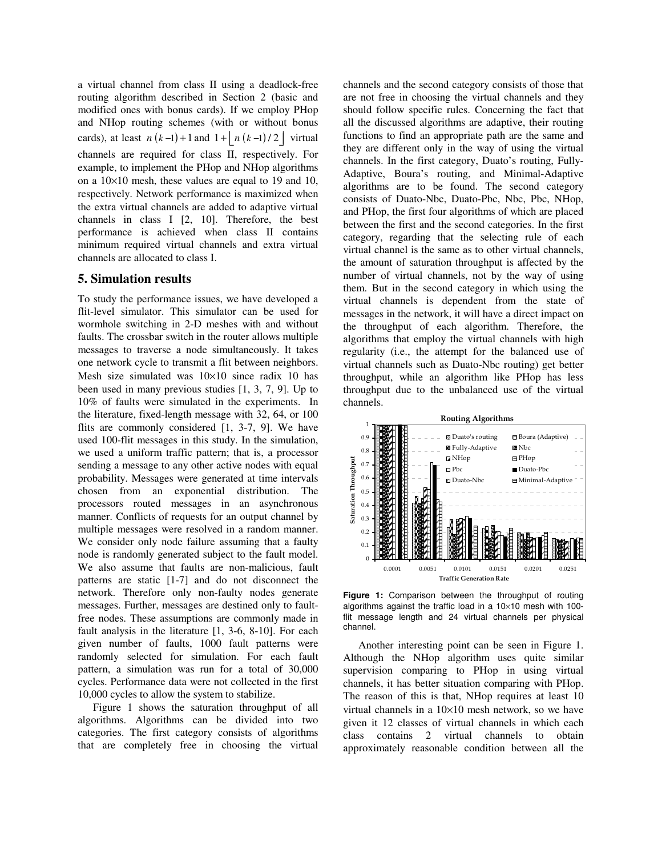a virtual channel from class II using a deadlock-free routing algorithm described in Section 2 (basic and modified ones with bonus cards). If we employ PHop and NHop routing schemes (with or without bonus cards), at least  $n(k-1)+1$  and  $1+\left\lfloor n(k-1)/2\right\rfloor$  virtual channels are required for class II, respectively. For example, to implement the PHop and NHop algorithms on a 10×10 mesh, these values are equal to 19 and 10, respectively. Network performance is maximized when the extra virtual channels are added to adaptive virtual channels in class I [2, 10]. Therefore, the best performance is achieved when class II contains minimum required virtual channels and extra virtual channels are allocated to class I.

#### **5. Simulation results**

To study the performance issues, we have developed a flit-level simulator. This simulator can be used for wormhole switching in 2-D meshes with and without faults. The crossbar switch in the router allows multiple messages to traverse a node simultaneously. It takes one network cycle to transmit a flit between neighbors. Mesh size simulated was 10×10 since radix 10 has been used in many previous studies [1, 3, 7, 9]. Up to 10% of faults were simulated in the experiments. In the literature, fixed-length message with 32, 64, or 100 flits are commonly considered [1, 3-7, 9]. We have used 100-flit messages in this study. In the simulation, we used a uniform traffic pattern; that is, a processor sending a message to any other active nodes with equal probability. Messages were generated at time intervals chosen from an exponential distribution. The processors routed messages in an asynchronous manner. Conflicts of requests for an output channel by multiple messages were resolved in a random manner. We consider only node failure assuming that a faulty node is randomly generated subject to the fault model. We also assume that faults are non-malicious, fault patterns are static [1-7] and do not disconnect the network. Therefore only non-faulty nodes generate messages. Further, messages are destined only to faultfree nodes. These assumptions are commonly made in fault analysis in the literature [1, 3-6, 8-10]. For each given number of faults, 1000 fault patterns were randomly selected for simulation. For each fault pattern, a simulation was run for a total of 30,000 cycles. Performance data were not collected in the first 10,000 cycles to allow the system to stabilize.

Figure 1 shows the saturation throughput of all algorithms. Algorithms can be divided into two categories. The first category consists of algorithms that are completely free in choosing the virtual

channels and the second category consists of those that are not free in choosing the virtual channels and they should follow specific rules. Concerning the fact that all the discussed algorithms are adaptive, their routing functions to find an appropriate path are the same and they are different only in the way of using the virtual channels. In the first category, Duato's routing, Fully-Adaptive, Boura's routing, and Minimal-Adaptive algorithms are to be found. The second category consists of Duato-Nbc, Duato-Pbc, Nbc, Pbc, NHop, and PHop, the first four algorithms of which are placed between the first and the second categories. In the first category, regarding that the selecting rule of each virtual channel is the same as to other virtual channels, the amount of saturation throughput is affected by the number of virtual channels, not by the way of using them. But in the second category in which using the virtual channels is dependent from the state of messages in the network, it will have a direct impact on the throughput of each algorithm. Therefore, the algorithms that employ the virtual channels with high regularity (i.e., the attempt for the balanced use of virtual channels such as Duato-Nbc routing) get better throughput, while an algorithm like PHop has less throughput due to the unbalanced use of the virtual channels.



**Figure 1:** Comparison between the throughput of routing algorithms against the traffic load in a  $10\times10$  mesh with 100flit message length and 24 virtual channels per physical channel.

Another interesting point can be seen in Figure 1. Although the NHop algorithm uses quite similar supervision comparing to PHop in using virtual channels, it has better situation comparing with PHop. The reason of this is that, NHop requires at least 10 virtual channels in a 10×10 mesh network, so we have given it 12 classes of virtual channels in which each class contains 2 virtual channels to obtain approximately reasonable condition between all the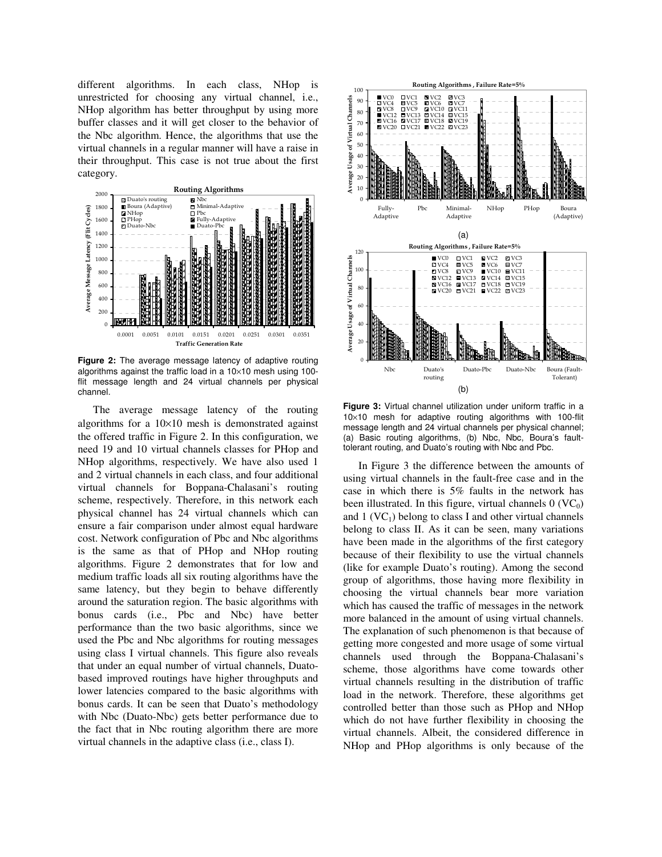different algorithms. In each class, NHop is unrestricted for choosing any virtual channel, i.e., NHop algorithm has better throughput by using more buffer classes and it will get closer to the behavior of the Nbc algorithm. Hence, the algorithms that use the virtual channels in a regular manner will have a raise in their throughput. This case is not true about the first category.



**Figure 2:** The average message latency of adaptive routing algorithms against the traffic load in a  $10\times10$  mesh using 100flit message length and 24 virtual channels per physical channel.

The average message latency of the routing algorithms for a  $10\times10$  mesh is demonstrated against the offered traffic in Figure 2. In this configuration, we need 19 and 10 virtual channels classes for PHop and NHop algorithms, respectively. We have also used 1 and 2 virtual channels in each class, and four additional virtual channels for Boppana-Chalasani's routing scheme, respectively. Therefore, in this network each physical channel has 24 virtual channels which can ensure a fair comparison under almost equal hardware cost. Network configuration of Pbc and Nbc algorithms is the same as that of PHop and NHop routing algorithms. Figure 2 demonstrates that for low and medium traffic loads all six routing algorithms have the same latency, but they begin to behave differently around the saturation region. The basic algorithms with bonus cards (i.e., Pbc and Nbc) have better performance than the two basic algorithms, since we used the Pbc and Nbc algorithms for routing messages using class I virtual channels. This figure also reveals that under an equal number of virtual channels, Duatobased improved routings have higher throughputs and lower latencies compared to the basic algorithms with bonus cards. It can be seen that Duato's methodology with Nbc (Duato-Nbc) gets better performance due to the fact that in Nbc routing algorithm there are more virtual channels in the adaptive class (i.e., class I).



**Figure 3:** Virtual channel utilization under uniform traffic in a 10×10 mesh for adaptive routing algorithms with 100-flit message length and 24 virtual channels per physical channel; (a) Basic routing algorithms, (b) Nbc, Nbc, Boura's faulttolerant routing, and Duato's routing with Nbc and Pbc.

In Figure 3 the difference between the amounts of using virtual channels in the fault-free case and in the case in which there is 5% faults in the network has been illustrated. In this figure, virtual channels  $0$  (VC<sub>0</sub>) and  $1$  (VC<sub>1</sub>) belong to class I and other virtual channels belong to class II. As it can be seen, many variations have been made in the algorithms of the first category because of their flexibility to use the virtual channels (like for example Duato's routing). Among the second group of algorithms, those having more flexibility in choosing the virtual channels bear more variation which has caused the traffic of messages in the network more balanced in the amount of using virtual channels. The explanation of such phenomenon is that because of getting more congested and more usage of some virtual channels used through the Boppana-Chalasani's scheme, those algorithms have come towards other virtual channels resulting in the distribution of traffic load in the network. Therefore, these algorithms get controlled better than those such as PHop and NHop which do not have further flexibility in choosing the virtual channels. Albeit, the considered difference in NHop and PHop algorithms is only because of the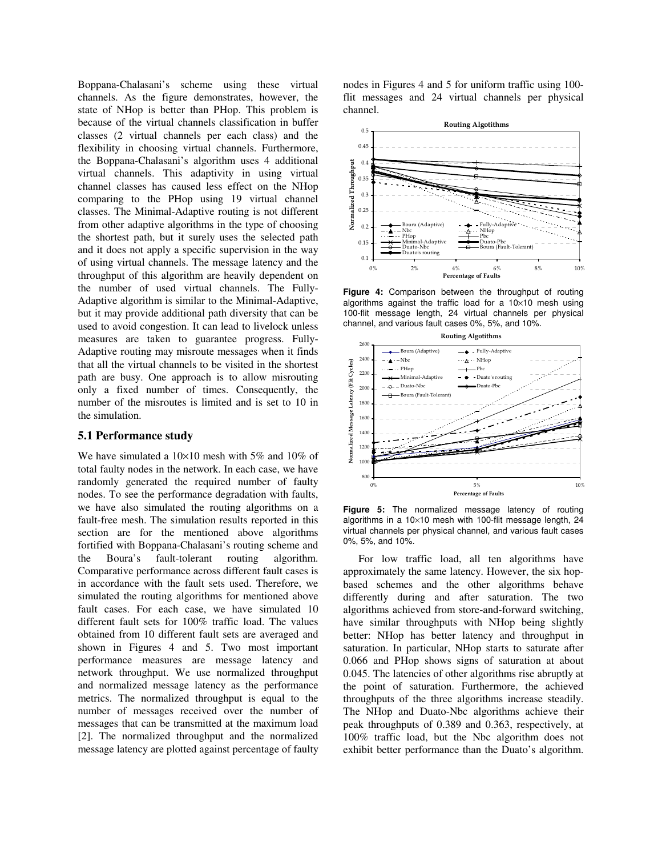Boppana-Chalasani's scheme using these virtual channels. As the figure demonstrates, however, the state of NHop is better than PHop. This problem is because of the virtual channels classification in buffer classes (2 virtual channels per each class) and the flexibility in choosing virtual channels. Furthermore, the Boppana-Chalasani's algorithm uses 4 additional virtual channels. This adaptivity in using virtual channel classes has caused less effect on the NHop comparing to the PHop using 19 virtual channel classes. The Minimal-Adaptive routing is not different from other adaptive algorithms in the type of choosing the shortest path, but it surely uses the selected path and it does not apply a specific supervision in the way of using virtual channels. The message latency and the throughput of this algorithm are heavily dependent on the number of used virtual channels. The Fully-Adaptive algorithm is similar to the Minimal-Adaptive, but it may provide additional path diversity that can be used to avoid congestion. It can lead to livelock unless measures are taken to guarantee progress. Fully-Adaptive routing may misroute messages when it finds that all the virtual channels to be visited in the shortest path are busy. One approach is to allow misrouting only a fixed number of times. Consequently, the number of the misroutes is limited and is set to 10 in the simulation.

#### **5.1 Performance study**

We have simulated a  $10\times10$  mesh with 5% and 10% of total faulty nodes in the network. In each case, we have randomly generated the required number of faulty nodes. To see the performance degradation with faults, we have also simulated the routing algorithms on a fault-free mesh. The simulation results reported in this section are for the mentioned above algorithms fortified with Boppana-Chalasani's routing scheme and the Boura's fault-tolerant routing algorithm. Comparative performance across different fault cases is in accordance with the fault sets used. Therefore, we simulated the routing algorithms for mentioned above fault cases. For each case, we have simulated 10 different fault sets for 100% traffic load. The values obtained from 10 different fault sets are averaged and shown in Figures 4 and 5. Two most important performance measures are message latency and network throughput. We use normalized throughput and normalized message latency as the performance metrics. The normalized throughput is equal to the number of messages received over the number of messages that can be transmitted at the maximum load [2]. The normalized throughput and the normalized message latency are plotted against percentage of faulty nodes in Figures 4 and 5 for uniform traffic using 100 flit messages and 24 virtual channels per physical channel.



**Figure 4:** Comparison between the throughput of routing algorithms against the traffic load for a  $10\times10$  mesh using 100-flit message length, 24 virtual channels per physical channel, and various fault cases 0%, 5%, and 10%.



**Figure 5:** The normalized message latency of routing algorithms in a  $10\times10$  mesh with 100-flit message length, 24 virtual channels per physical channel, and various fault cases 0%, 5%, and 10%.

For low traffic load, all ten algorithms have approximately the same latency. However, the six hopbased schemes and the other algorithms behave differently during and after saturation. The two algorithms achieved from store-and-forward switching, have similar throughputs with NHop being slightly better: NHop has better latency and throughput in saturation. In particular, NHop starts to saturate after 0.066 and PHop shows signs of saturation at about 0.045. The latencies of other algorithms rise abruptly at the point of saturation. Furthermore, the achieved throughputs of the three algorithms increase steadily. The NHop and Duato-Nbc algorithms achieve their peak throughputs of 0.389 and 0.363, respectively, at 100% traffic load, but the Nbc algorithm does not exhibit better performance than the Duato's algorithm.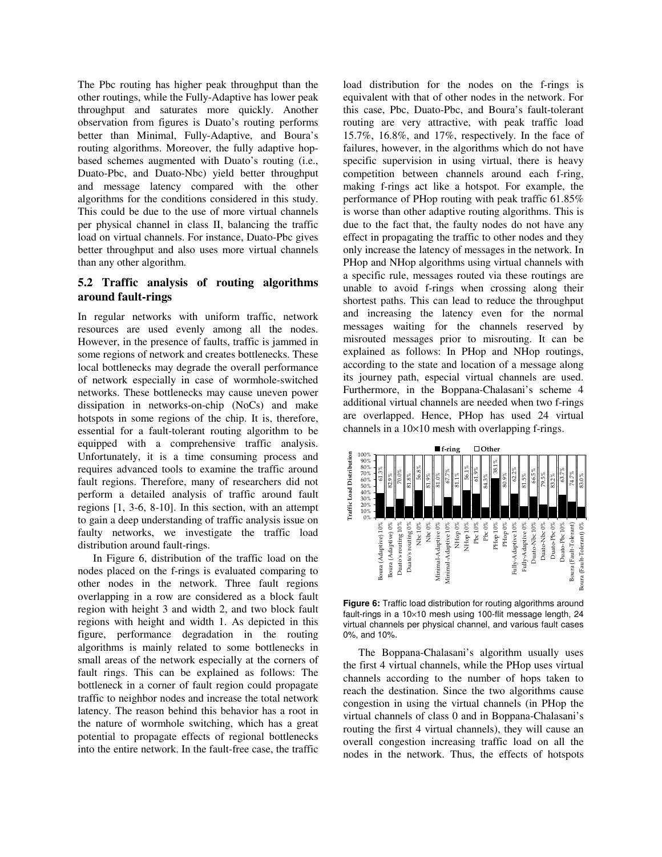The Pbc routing has higher peak throughput than the other routings, while the Fully-Adaptive has lower peak throughput and saturates more quickly. Another observation from figures is Duato's routing performs better than Minimal, Fully-Adaptive, and Boura's routing algorithms. Moreover, the fully adaptive hopbased schemes augmented with Duato's routing (i.e., Duato-Pbc, and Duato-Nbc) yield better throughput and message latency compared with the other algorithms for the conditions considered in this study. This could be due to the use of more virtual channels per physical channel in class II, balancing the traffic load on virtual channels. For instance, Duato-Pbc gives better throughput and also uses more virtual channels than any other algorithm.

# **5.2 Traffic analysis of routing algorithms around fault-rings**

In regular networks with uniform traffic, network resources are used evenly among all the nodes. However, in the presence of faults, traffic is jammed in some regions of network and creates bottlenecks. These local bottlenecks may degrade the overall performance of network especially in case of wormhole-switched networks. These bottlenecks may cause uneven power dissipation in networks-on-chip (NoCs) and make hotspots in some regions of the chip. It is, therefore, essential for a fault-tolerant routing algorithm to be equipped with a comprehensive traffic analysis. Unfortunately, it is a time consuming process and requires advanced tools to examine the traffic around fault regions. Therefore, many of researchers did not perform a detailed analysis of traffic around fault regions [1, 3-6, 8-10]. In this section, with an attempt to gain a deep understanding of traffic analysis issue on faulty networks, we investigate the traffic load distribution around fault-rings.

In Figure 6, distribution of the traffic load on the nodes placed on the f-rings is evaluated comparing to other nodes in the network. Three fault regions overlapping in a row are considered as a block fault region with height 3 and width 2, and two block fault regions with height and width 1. As depicted in this figure, performance degradation in the routing algorithms is mainly related to some bottlenecks in small areas of the network especially at the corners of fault rings. This can be explained as follows: The bottleneck in a corner of fault region could propagate traffic to neighbor nodes and increase the total network latency. The reason behind this behavior has a root in the nature of wormhole switching, which has a great potential to propagate effects of regional bottlenecks into the entire network. In the fault-free case, the traffic

load distribution for the nodes on the f-rings is equivalent with that of other nodes in the network. For this case, Pbc, Duato-Pbc, and Boura's fault-tolerant routing are very attractive, with peak traffic load 15.7%, 16.8%, and 17%, respectively. In the face of failures, however, in the algorithms which do not have specific supervision in using virtual, there is heavy competition between channels around each f-ring, making f-rings act like a hotspot. For example, the performance of PHop routing with peak traffic 61.85% is worse than other adaptive routing algorithms. This is due to the fact that, the faulty nodes do not have any effect in propagating the traffic to other nodes and they only increase the latency of messages in the network. In PHop and NHop algorithms using virtual channels with a specific rule, messages routed via these routings are unable to avoid f-rings when crossing along their shortest paths. This can lead to reduce the throughput and increasing the latency even for the normal messages waiting for the channels reserved by misrouted messages prior to misrouting. It can be explained as follows: In PHop and NHop routings, according to the state and location of a message along its journey path, especial virtual channels are used. Furthermore, in the Boppana-Chalasani's scheme 4 additional virtual channels are needed when two f-rings are overlapped. Hence, PHop has used 24 virtual channels in a 10×10 mesh with overlapping f-rings.



**Figure 6:** Traffic load distribution for routing algorithms around fault-rings in a 10×10 mesh using 100-flit message length, 24 virtual channels per physical channel, and various fault cases 0%, and 10%.

The Boppana-Chalasani's algorithm usually uses the first 4 virtual channels, while the PHop uses virtual channels according to the number of hops taken to reach the destination. Since the two algorithms cause congestion in using the virtual channels (in PHop the virtual channels of class 0 and in Boppana-Chalasani's routing the first 4 virtual channels), they will cause an overall congestion increasing traffic load on all the nodes in the network. Thus, the effects of hotspots